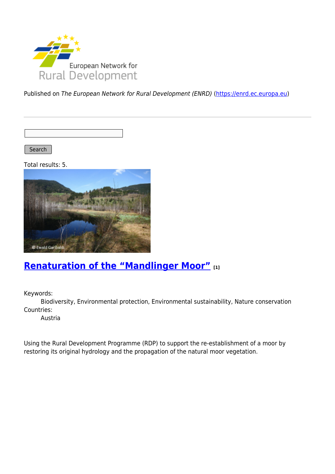

Published on The European Network for Rural Development (ENRD) [\(https://enrd.ec.europa.eu](https://enrd.ec.europa.eu))

Search |

Total results: 5.



# **[Renaturation of the "Mandlinger Moor"](https://enrd.ec.europa.eu/projects-practice/renaturation-mandlinger-moor_en) [1]**

Keywords:

Biodiversity, Environmental protection, Environmental sustainability, Nature conservation Countries:

Austria

Using the Rural Development Programme (RDP) to support the re-establishment of a moor by restoring its original hydrology and the propagation of the natural moor vegetation.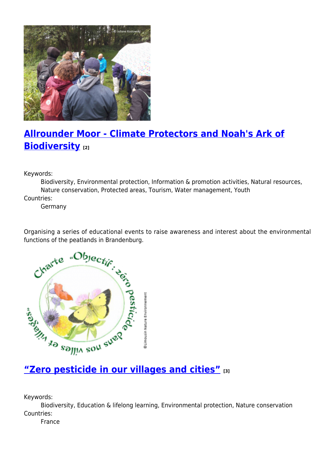

# **[Allrounder Moor - Climate Protectors and Noah's Ark of](https://enrd.ec.europa.eu/projects-practice/allrounder-moor-climate-protectors-and-noahs-ark-biodiversity_en) [Biodiversity](https://enrd.ec.europa.eu/projects-practice/allrounder-moor-climate-protectors-and-noahs-ark-biodiversity_en) [2]**

Keywords:

Biodiversity, Environmental protection, Information & promotion activities, Natural resources, Nature conservation, Protected areas, Tourism, Water management, Youth

Countries:

Germany

Organising a series of educational events to raise awareness and interest about the environmental



Keywords:

Biodiversity, Education & lifelong learning, Environmental protection, Nature conservation Countries:

France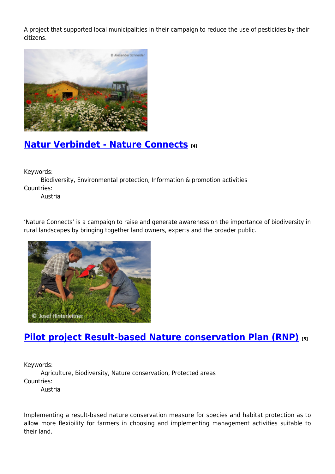A project that supported local municipalities in their campaign to reduce the use of pesticides by their citizens.



## **[Natur Verbindet - Nature Connects](https://enrd.ec.europa.eu/projects-practice/natur-verbindet-nature-connects_en) [4]**

Keywords:

Biodiversity, Environmental protection, Information & promotion activities Countries:

Austria

'Nature Connects' is a campaign to raise and generate awareness on the importance of biodiversity in rural landscapes by bringing together land owners, experts and the broader public.



## **[Pilot project Result-based Nature conservation Plan \(RNP\)](https://enrd.ec.europa.eu/projects-practice/pilot-project-result-based-nature-conservation-plan-rnp_en) [5]**

Keywords:

Agriculture, Biodiversity, Nature conservation, Protected areas Countries:

Austria

Implementing a result-based nature conservation measure for species and habitat protection as to allow more flexibility for farmers in choosing and implementing management activities suitable to their land.